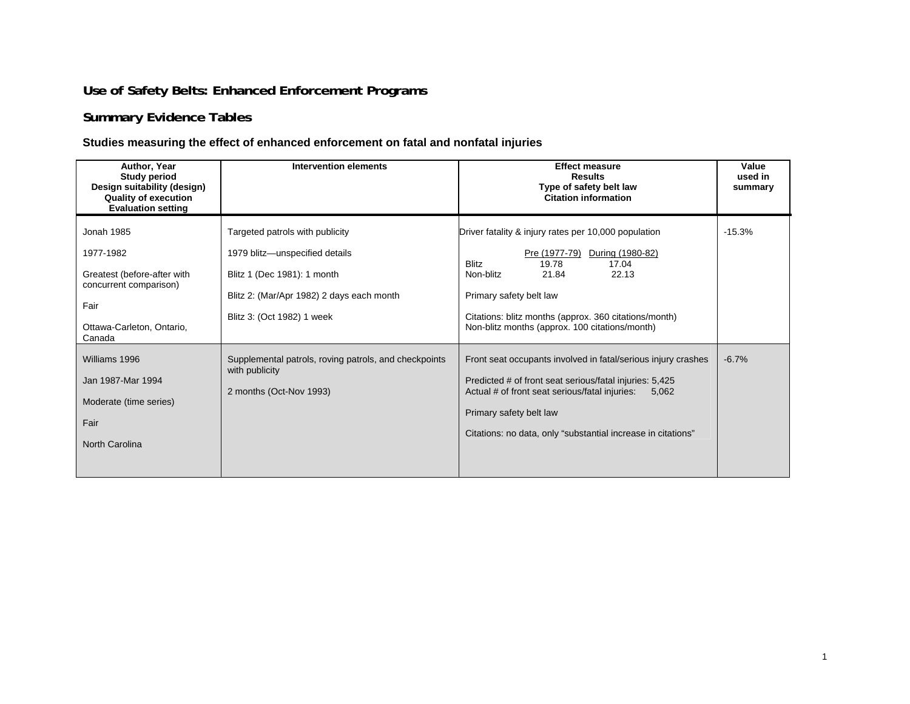## **Use of Safety Belts: Enhanced Enforcement Programs**

## **Summary Evidence Tables**

## **Studies measuring the effect of enhanced enforcement on fatal and nonfatal injuries**

| Author, Year<br><b>Study period</b><br>Design suitability (design)<br><b>Quality of execution</b><br><b>Evaluation setting</b>         | <b>Intervention elements</b>                                                                                                                                                | <b>Effect measure</b><br><b>Results</b><br>Type of safety belt law<br><b>Citation information</b>                                                                                                                                                                                                | Value<br>used in<br>summary |
|----------------------------------------------------------------------------------------------------------------------------------------|-----------------------------------------------------------------------------------------------------------------------------------------------------------------------------|--------------------------------------------------------------------------------------------------------------------------------------------------------------------------------------------------------------------------------------------------------------------------------------------------|-----------------------------|
| <b>Jonah 1985</b><br>1977-1982<br>Greatest (before-after with<br>concurrent comparison)<br>Fair<br>Ottawa-Carleton, Ontario,<br>Canada | Targeted patrols with publicity<br>1979 blitz-unspecified details<br>Blitz 1 (Dec 1981): 1 month<br>Blitz 2: (Mar/Apr 1982) 2 days each month<br>Blitz 3: (Oct 1982) 1 week | Driver fatality & injury rates per 10,000 population<br>Pre (1977-79)<br>During (1980-82)<br>19.78<br><b>Blitz</b><br>17.04<br>21.84<br>22.13<br>Non-blitz<br>Primary safety belt law<br>Citations: blitz months (approx. 360 citations/month)<br>Non-blitz months (approx. 100 citations/month) | $-15.3%$                    |
| Williams 1996<br>Jan 1987-Mar 1994<br>Moderate (time series)<br>Fair<br><b>North Carolina</b>                                          | Supplemental patrols, roving patrols, and checkpoints<br>with publicity<br>2 months (Oct-Nov 1993)                                                                          | Front seat occupants involved in fatal/serious injury crashes<br>Predicted # of front seat serious/fatal injuries: 5,425<br>Actual # of front seat serious/fatal injuries:<br>5.062<br>Primary safety belt law<br>Citations: no data, only "substantial increase in citations"                   | $-6.7%$                     |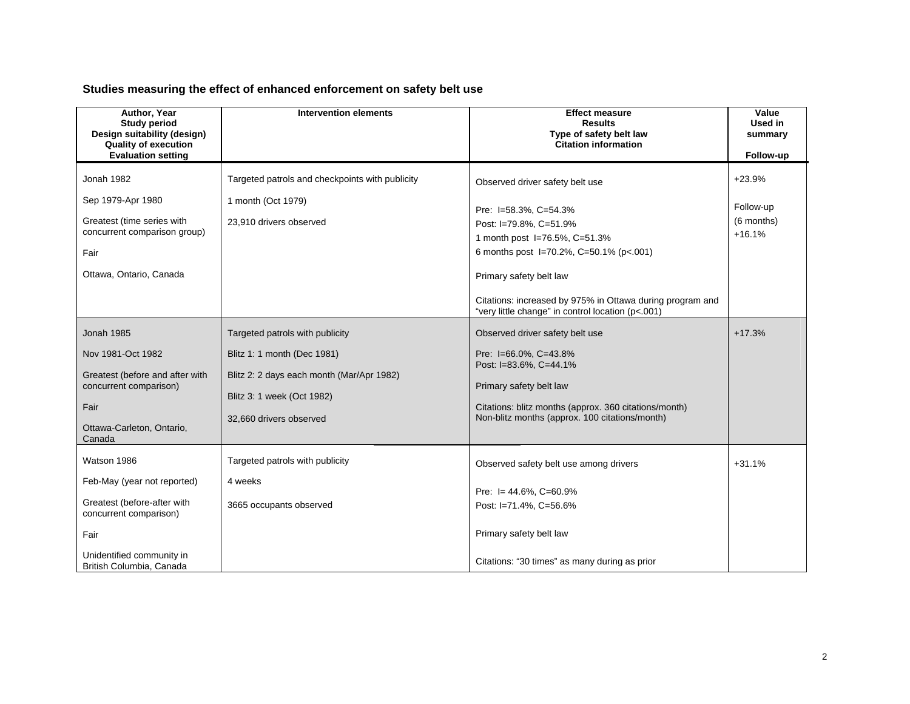## **Studies measuring the effect of enhanced enforcement on safety belt use**

| Author, Year<br><b>Study period</b><br>Design suitability (design)<br><b>Quality of execution</b><br><b>Evaluation setting</b>                                       | <b>Intervention elements</b>                                                                                                                                         | <b>Effect measure</b><br><b>Results</b><br>Type of safety belt law<br><b>Citation information</b>                                                                                                                                                                                                           | Value<br>Used in<br>summary<br>Follow-up        |
|----------------------------------------------------------------------------------------------------------------------------------------------------------------------|----------------------------------------------------------------------------------------------------------------------------------------------------------------------|-------------------------------------------------------------------------------------------------------------------------------------------------------------------------------------------------------------------------------------------------------------------------------------------------------------|-------------------------------------------------|
| Jonah 1982<br>Sep 1979-Apr 1980<br>Greatest (time series with<br>concurrent comparison group)<br>Fair<br>Ottawa, Ontario, Canada                                     | Targeted patrols and checkpoints with publicity<br>1 month (Oct 1979)<br>23,910 drivers observed                                                                     | Observed driver safety belt use<br>Pre: I=58.3%, C=54.3%<br>Post: I=79.8%, C=51.9%<br>1 month post I=76.5%, C=51.3%<br>6 months post 1=70.2%, C=50.1% (p<.001)<br>Primary safety belt law<br>Citations: increased by 975% in Ottawa during program and<br>"very little change" in control location (p<.001) | $+23.9%$<br>Follow-up<br>(6 months)<br>$+16.1%$ |
| <b>Jonah 1985</b><br>Nov 1981-Oct 1982<br>Greatest (before and after with<br>concurrent comparison)<br>Fair<br>Ottawa-Carleton, Ontario,<br>Canada                   | Targeted patrols with publicity<br>Blitz 1: 1 month (Dec 1981)<br>Blitz 2: 2 days each month (Mar/Apr 1982)<br>Blitz 3: 1 week (Oct 1982)<br>32,660 drivers observed | Observed driver safety belt use<br>Pre: I=66.0%, C=43.8%<br>Post: I=83.6%, C=44.1%<br>Primary safety belt law<br>Citations: blitz months (approx. 360 citations/month)<br>Non-blitz months (approx. 100 citations/month)                                                                                    | $+17.3%$                                        |
| Watson 1986<br>Feb-May (year not reported)<br>Greatest (before-after with<br>concurrent comparison)<br>Fair<br>Unidentified community in<br>British Columbia, Canada | Targeted patrols with publicity<br>4 weeks<br>3665 occupants observed                                                                                                | Observed safety belt use among drivers<br>Pre: $I = 44.6\%$ , C=60.9%<br>Post: I=71.4%, C=56.6%<br>Primary safety belt law<br>Citations: "30 times" as many during as prior                                                                                                                                 | $+31.1%$                                        |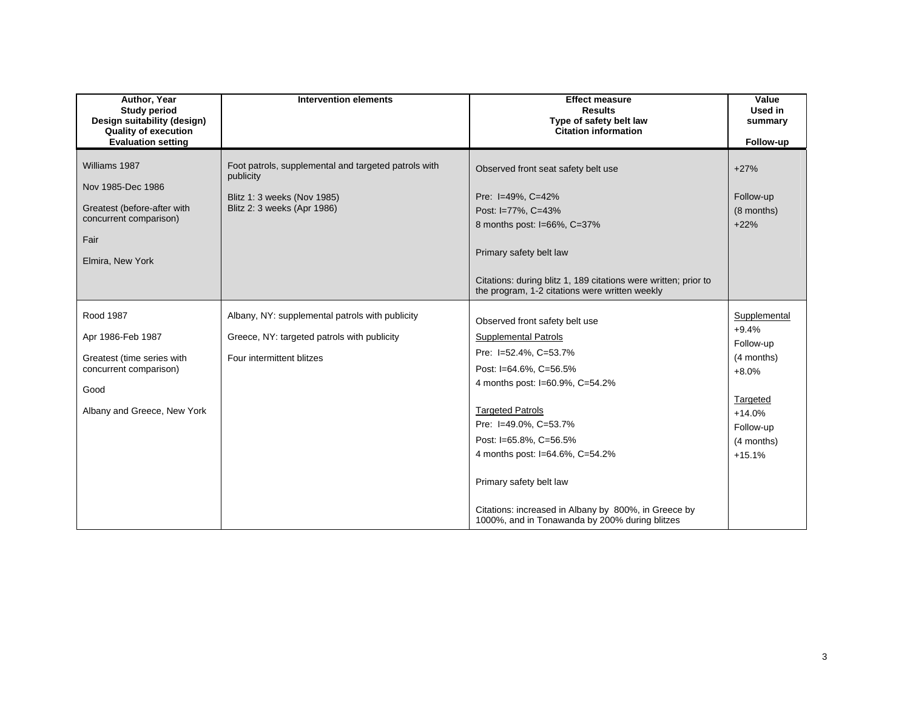| Author, Year<br><b>Study period</b><br>Design suitability (design)<br><b>Quality of execution</b>                       | <b>Intervention elements</b>                                                                                                    | <b>Effect measure</b><br><b>Results</b><br>Type of safety belt law<br><b>Citation information</b>                                                                                                                                                  | Value<br>Used in<br>summary                                   |
|-------------------------------------------------------------------------------------------------------------------------|---------------------------------------------------------------------------------------------------------------------------------|----------------------------------------------------------------------------------------------------------------------------------------------------------------------------------------------------------------------------------------------------|---------------------------------------------------------------|
| <b>Evaluation setting</b>                                                                                               |                                                                                                                                 |                                                                                                                                                                                                                                                    | Follow-up                                                     |
| Williams 1987<br>Nov 1985-Dec 1986<br>Greatest (before-after with<br>concurrent comparison)<br>Fair<br>Elmira, New York | Foot patrols, supplemental and targeted patrols with<br>publicity<br>Blitz 1: 3 weeks (Nov 1985)<br>Blitz 2: 3 weeks (Apr 1986) | Observed front seat safety belt use<br>Pre: I=49%, C=42%<br>Post: I=77%, C=43%<br>8 months post: I=66%, C=37%<br>Primary safety belt law                                                                                                           | $+27%$<br>Follow-up<br>(8 months)<br>$+22%$                   |
|                                                                                                                         |                                                                                                                                 | Citations: during blitz 1, 189 citations were written; prior to<br>the program, 1-2 citations were written weekly                                                                                                                                  |                                                               |
| Rood 1987<br>Apr 1986-Feb 1987<br>Greatest (time series with<br>concurrent comparison)                                  | Albany, NY: supplemental patrols with publicity<br>Greece, NY: targeted patrols with publicity<br>Four intermittent blitzes     | Observed front safety belt use<br><b>Supplemental Patrols</b><br>Pre: I=52.4%, C=53.7%<br>Post: I=64.6%, C=56.5%<br>4 months post: I=60.9%, C=54.2%                                                                                                | Supplemental<br>$+9.4%$<br>Follow-up<br>(4 months)<br>$+8.0%$ |
| Good<br>Albany and Greece, New York                                                                                     |                                                                                                                                 | <b>Targeted Patrols</b><br>Pre: I=49.0%, C=53.7%<br>Post: I=65.8%, C=56.5%<br>4 months post: I=64.6%, C=54.2%<br>Primary safety belt law<br>Citations: increased in Albany by 800%, in Greece by<br>1000%, and in Tonawanda by 200% during blitzes | Targeted<br>$+14.0%$<br>Follow-up<br>(4 months)<br>$+15.1%$   |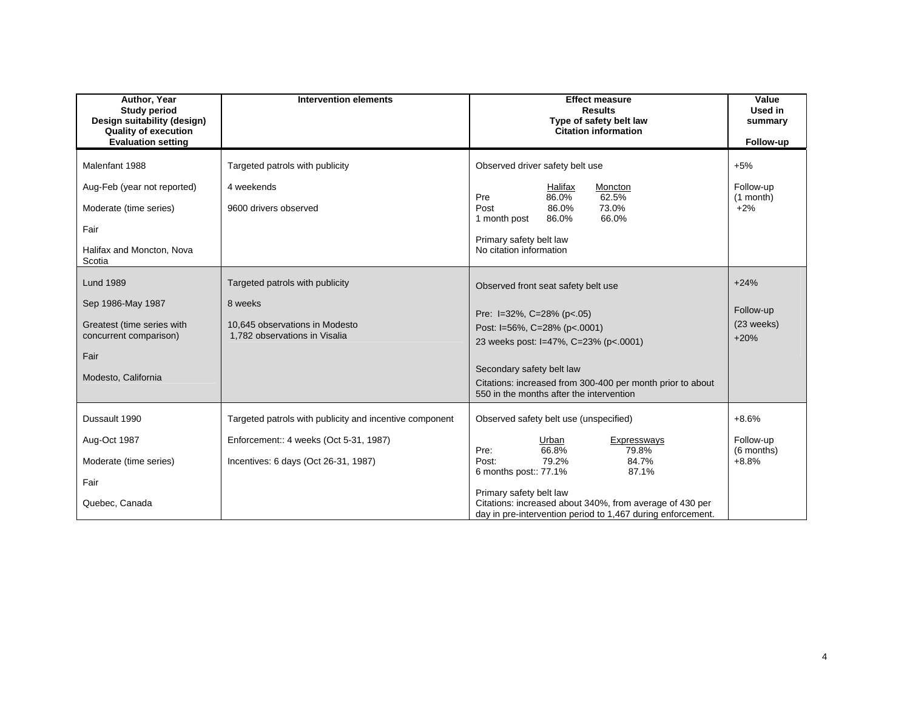| Author, Year<br><b>Study period</b><br>Design suitability (design)<br><b>Quality of execution</b><br><b>Evaluation setting</b> | <b>Intervention elements</b>                                                                                                              | <b>Effect measure</b><br><b>Results</b><br>Type of safety belt law<br><b>Citation information</b>                                                                                                                                                                                                           | Value<br>Used in<br>summary<br>Follow-up      |
|--------------------------------------------------------------------------------------------------------------------------------|-------------------------------------------------------------------------------------------------------------------------------------------|-------------------------------------------------------------------------------------------------------------------------------------------------------------------------------------------------------------------------------------------------------------------------------------------------------------|-----------------------------------------------|
| Malenfant 1988<br>Aug-Feb (year not reported)<br>Moderate (time series)<br>Fair<br>Halifax and Moncton, Nova<br>Scotia         | Targeted patrols with publicity<br>4 weekends<br>9600 drivers observed                                                                    | Observed driver safety belt use<br>Halifax<br>Moncton<br>62.5%<br>Pre<br>86.0%<br>86.0%<br>73.0%<br>Post<br>66.0%<br>86.0%<br>1 month post<br>Primary safety belt law<br>No citation information                                                                                                            | $+5%$<br>Follow-up<br>$(1$ month)<br>$+2%$    |
| <b>Lund 1989</b><br>Sep 1986-May 1987<br>Greatest (time series with<br>concurrent comparison)<br>Fair<br>Modesto, California   | Targeted patrols with publicity<br>8 weeks<br>10,645 observations in Modesto<br>1,782 observations in Visalia                             | Observed front seat safety belt use<br>Pre: $I=32\%$ , C=28% (p<.05)<br>Post: I=56%, C=28% (p<.0001)<br>23 weeks post: I=47%, C=23% (p<.0001)<br>Secondary safety belt law<br>Citations: increased from 300-400 per month prior to about<br>550 in the months after the intervention                        | $+24%$<br>Follow-up<br>(23 weeks)<br>$+20%$   |
| Dussault 1990<br>Aug-Oct 1987<br>Moderate (time series)<br>Fair<br>Quebec, Canada                                              | Targeted patrols with publicity and incentive component<br>Enforcement:: 4 weeks (Oct 5-31, 1987)<br>Incentives: 6 days (Oct 26-31, 1987) | Observed safety belt use (unspecified)<br>Urban<br>Expressways<br>66.8%<br>79.8%<br>Pre:<br>79.2%<br>84.7%<br>Post:<br>6 months post:: 77.1%<br>87.1%<br>Primary safety belt law<br>Citations: increased about 340%, from average of 430 per<br>day in pre-intervention period to 1,467 during enforcement. | $+8.6%$<br>Follow-up<br>(6 months)<br>$+8.8%$ |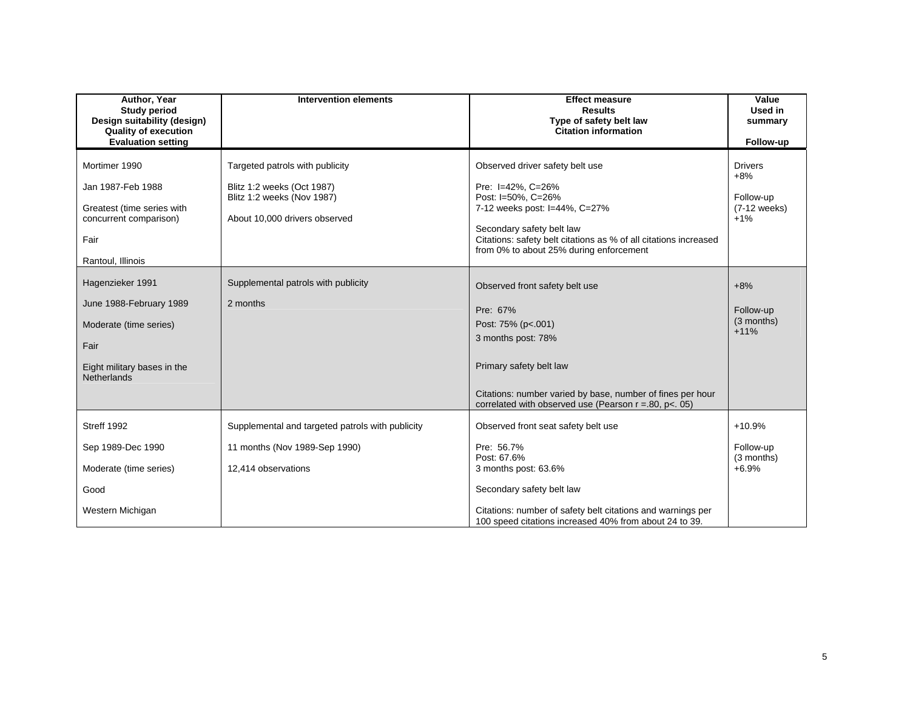| Author, Year<br><b>Study period</b><br>Design suitability (design)<br><b>Quality of execution</b><br><b>Evaluation setting</b> | <b>Intervention elements</b>                                                                                                 | <b>Effect measure</b><br><b>Results</b><br>Type of safety belt law<br><b>Citation information</b>                                                                                                                                                       | Value<br>Used in<br>summary<br>Follow-up                      |
|--------------------------------------------------------------------------------------------------------------------------------|------------------------------------------------------------------------------------------------------------------------------|---------------------------------------------------------------------------------------------------------------------------------------------------------------------------------------------------------------------------------------------------------|---------------------------------------------------------------|
| Mortimer 1990<br>Jan 1987-Feb 1988<br>Greatest (time series with<br>concurrent comparison)<br>Fair<br>Rantoul, Illinois        | Targeted patrols with publicity<br>Blitz 1:2 weeks (Oct 1987)<br>Blitz 1:2 weeks (Nov 1987)<br>About 10,000 drivers observed | Observed driver safety belt use<br>Pre: I=42%, C=26%<br>Post: I=50%, C=26%<br>7-12 weeks post: I=44%, C=27%<br>Secondary safety belt law<br>Citations: safety belt citations as % of all citations increased<br>from 0% to about 25% during enforcement | <b>Drivers</b><br>$+8%$<br>Follow-up<br>(7-12 weeks)<br>$+1%$ |
| Hagenzieker 1991<br>June 1988-February 1989<br>Moderate (time series)<br>Fair<br>Eight military bases in the<br>Netherlands    | Supplemental patrols with publicity<br>2 months                                                                              | Observed front safety belt use<br>Pre: 67%<br>Post: 75% (p<.001)<br>3 months post: 78%<br>Primary safety belt law<br>Citations: number varied by base, number of fines per hour<br>correlated with observed use (Pearson $r = .80$ , $p < .05$ )        | $+8%$<br>Follow-up<br>(3 months)<br>$+11%$                    |
| Streff 1992<br>Sep 1989-Dec 1990<br>Moderate (time series)<br>Good<br>Western Michigan                                         | Supplemental and targeted patrols with publicity<br>11 months (Nov 1989-Sep 1990)<br>12,414 observations                     | Observed front seat safety belt use<br>Pre: 56.7%<br>Post: 67.6%<br>3 months post: 63.6%<br>Secondary safety belt law<br>Citations: number of safety belt citations and warnings per<br>100 speed citations increased 40% from about 24 to 39.          | $+10.9%$<br>Follow-up<br>(3 months)<br>$+6.9%$                |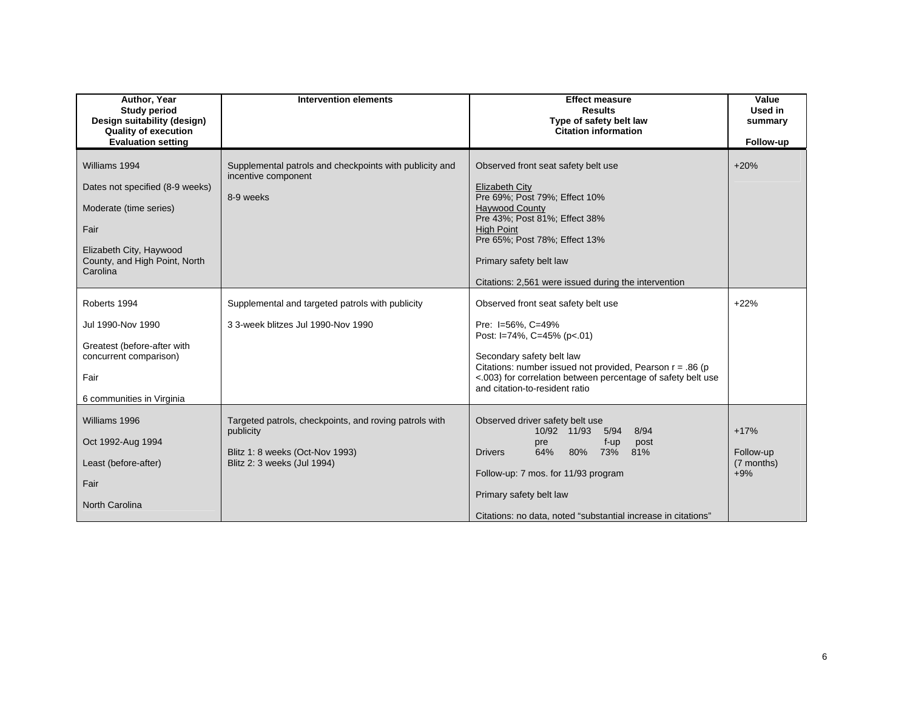| Author, Year<br><b>Study period</b><br>Design suitability (design)<br><b>Quality of execution</b>                                                          | <b>Intervention elements</b>                                                                                                          | <b>Effect measure</b><br><b>Results</b><br>Type of safety belt law<br><b>Citation information</b>                                                                                                                                                                                                | Value<br>Used in<br>summary                |
|------------------------------------------------------------------------------------------------------------------------------------------------------------|---------------------------------------------------------------------------------------------------------------------------------------|--------------------------------------------------------------------------------------------------------------------------------------------------------------------------------------------------------------------------------------------------------------------------------------------------|--------------------------------------------|
| <b>Evaluation setting</b>                                                                                                                                  |                                                                                                                                       |                                                                                                                                                                                                                                                                                                  | Follow-up                                  |
| Williams 1994<br>Dates not specified (8-9 weeks)<br>Moderate (time series)<br>Fair<br>Elizabeth City, Haywood<br>County, and High Point, North<br>Carolina | Supplemental patrols and checkpoints with publicity and<br>incentive component<br>8-9 weeks                                           | Observed front seat safety belt use<br><b>Elizabeth City</b><br>Pre 69%; Post 79%; Effect 10%<br><b>Haywood County</b><br>Pre 43%; Post 81%; Effect 38%<br><b>High Point</b><br>Pre 65%; Post 78%; Effect 13%<br>Primary safety belt law<br>Citations: 2,561 were issued during the intervention | $+20%$                                     |
| Roberts 1994<br>Jul 1990-Nov 1990<br>Greatest (before-after with<br>concurrent comparison)<br>Fair<br>6 communities in Virginia                            | Supplemental and targeted patrols with publicity<br>3 3-week blitzes Jul 1990-Nov 1990                                                | Observed front seat safety belt use<br>Pre: I=56%, C=49%<br>Post: I=74%, C=45% (p<.01)<br>Secondary safety belt law<br>Citations: number issued not provided, Pearson $r = .86$ (p<br><.003) for correlation between percentage of safety belt use<br>and citation-to-resident ratio             | $+22%$                                     |
| Williams 1996<br>Oct 1992-Aug 1994<br>Least (before-after)<br>Fair<br><b>North Carolina</b>                                                                | Targeted patrols, checkpoints, and roving patrols with<br>publicity<br>Blitz 1: 8 weeks (Oct-Nov 1993)<br>Blitz 2: 3 weeks (Jul 1994) | Observed driver safety belt use<br>10/92 11/93<br>5/94<br>8/94<br>f-up<br>post<br>pre<br>64%<br>80%<br>73%<br>81%<br><b>Drivers</b><br>Follow-up: 7 mos. for 11/93 program<br>Primary safety belt law<br>Citations: no data, noted "substantial increase in citations"                           | $+17%$<br>Follow-up<br>(7 months)<br>$+9%$ |